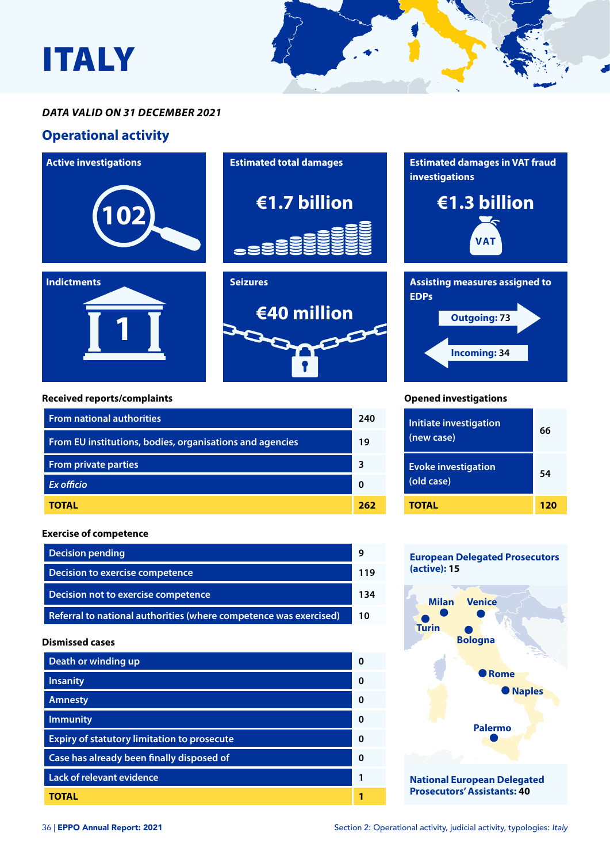

#### *DATA VALID ON 31 DECEMBER 2021*

### **Operational activity**



| Death or winding up                                | <sup>0</sup> |
|----------------------------------------------------|--------------|
| <b>Insanity</b>                                    | $\Omega$     |
| <b>Amnesty</b>                                     | <sup>0</sup> |
| <b>Immunity</b>                                    | <sup>0</sup> |
| <b>Expiry of statutory limitation to prosecute</b> | $\Omega$     |
| Case has already been finally disposed of          | $\Omega$     |
| <b>Lack of relevant evidence</b>                   | 1            |
| TOTAL                                              |              |

**National European Delegated Prosecutors' Assistants: 40**

**Palermo**

**Rome**

**Naples**